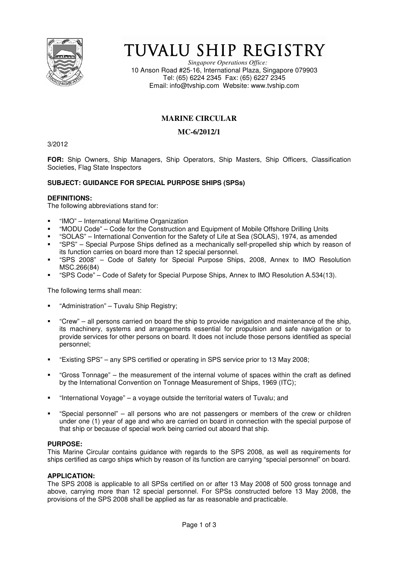

# TUVALU SHIP REGISTRY

*Singapore Operations Office:* 10 Anson Road #25-16, International Plaza, Singapore 079903 Tel: (65) 6224 2345 Fax: (65) 6227 2345 Email: info@tvship.com Website: www.tvship.com

# **MARINE CIRCULAR**

# **MC-6/2012/1**

3/2012

**FOR:** Ship Owners, Ship Managers, Ship Operators, Ship Masters, Ship Officers, Classification Societies, Flag State Inspectors

## **SUBJECT: GUIDANCE FOR SPECIAL PURPOSE SHIPS (SPSs)**

#### **DEFINITIONS:**

The following abbreviations stand for:

- "IMO" International Maritime Organization
- "MODU Code" Code for the Construction and Equipment of Mobile Offshore Drilling Units
- "SOLAS" International Convention for the Safety of Life at Sea (SOLAS), 1974, as amended
- "SPS" Special Purpose Ships defined as a mechanically self-propelled ship which by reason of its function carries on board more than 12 special personnel.
- "SPS 2008" Code of Safety for Special Purpose Ships, 2008, Annex to IMO Resolution MSC.266(84)
- "SPS Code" Code of Safety for Special Purpose Ships, Annex to IMO Resolution A.534(13).

The following terms shall mean:

- "Administration" Tuvalu Ship Registry;
- "Crew" all persons carried on board the ship to provide navigation and maintenance of the ship, its machinery, systems and arrangements essential for propulsion and safe navigation or to provide services for other persons on board. It does not include those persons identified as special personnel;
- "Existing SPS" any SPS certified or operating in SPS service prior to 13 May 2008;
- "Gross Tonnage" the measurement of the internal volume of spaces within the craft as defined by the International Convention on Tonnage Measurement of Ships, 1969 (ITC);
- "International Voyage" a voyage outside the territorial waters of Tuvalu; and
- "Special personnel" all persons who are not passengers or members of the crew or children under one (1) year of age and who are carried on board in connection with the special purpose of that ship or because of special work being carried out aboard that ship.

#### **PURPOSE:**

This Marine Circular contains guidance with regards to the SPS 2008, as well as requirements for ships certified as cargo ships which by reason of its function are carrying "special personnel" on board.

#### **APPLICATION:**

The SPS 2008 is applicable to all SPSs certified on or after 13 May 2008 of 500 gross tonnage and above, carrying more than 12 special personnel. For SPSs constructed before 13 May 2008, the provisions of the SPS 2008 shall be applied as far as reasonable and practicable.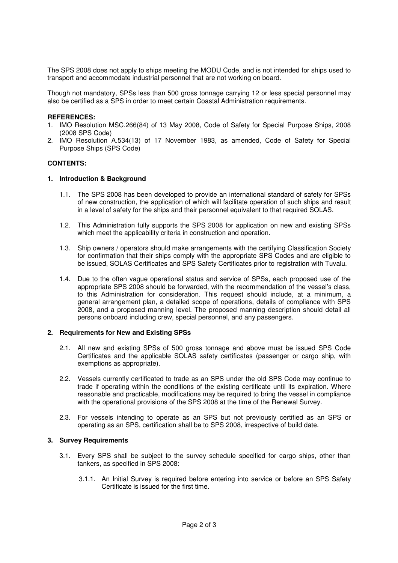The SPS 2008 does not apply to ships meeting the MODU Code, and is not intended for ships used to transport and accommodate industrial personnel that are not working on board.

Though not mandatory, SPSs less than 500 gross tonnage carrying 12 or less special personnel may also be certified as a SPS in order to meet certain Coastal Administration requirements.

#### **REFERENCES:**

- 1. IMO Resolution MSC.266(84) of 13 May 2008, Code of Safety for Special Purpose Ships, 2008 (2008 SPS Code)
- 2. IMO Resolution A.534(13) of 17 November 1983, as amended, Code of Safety for Special Purpose Ships (SPS Code)

#### **CONTENTS:**

#### **1. Introduction & Background**

- 1.1. The SPS 2008 has been developed to provide an international standard of safety for SPSs of new construction, the application of which will facilitate operation of such ships and result in a level of safety for the ships and their personnel equivalent to that required SOLAS.
- 1.2. This Administration fully supports the SPS 2008 for application on new and existing SPSs which meet the applicability criteria in construction and operation.
- 1.3. Ship owners / operators should make arrangements with the certifying Classification Society for confirmation that their ships comply with the appropriate SPS Codes and are eligible to be issued, SOLAS Certificates and SPS Safety Certificates prior to registration with Tuvalu.
- 1.4. Due to the often vague operational status and service of SPSs, each proposed use of the appropriate SPS 2008 should be forwarded, with the recommendation of the vessel's class, to this Administration for consideration. This request should include, at a minimum, a general arrangement plan, a detailed scope of operations, details of compliance with SPS 2008, and a proposed manning level. The proposed manning description should detail all persons onboard including crew, special personnel, and any passengers.

#### **2. Requirements for New and Existing SPSs**

- 2.1. All new and existing SPSs of 500 gross tonnage and above must be issued SPS Code Certificates and the applicable SOLAS safety certificates (passenger or cargo ship, with exemptions as appropriate).
- 2.2. Vessels currently certificated to trade as an SPS under the old SPS Code may continue to trade if operating within the conditions of the existing certificate until its expiration. Where reasonable and practicable, modifications may be required to bring the vessel in compliance with the operational provisions of the SPS 2008 at the time of the Renewal Survey.
- 2.3. For vessels intending to operate as an SPS but not previously certified as an SPS or operating as an SPS, certification shall be to SPS 2008, irrespective of build date.

### **3. Survey Requirements**

- 3.1. Every SPS shall be subject to the survey schedule specified for cargo ships, other than tankers, as specified in SPS 2008:
	- 3.1.1. An Initial Survey is required before entering into service or before an SPS Safety Certificate is issued for the first time.